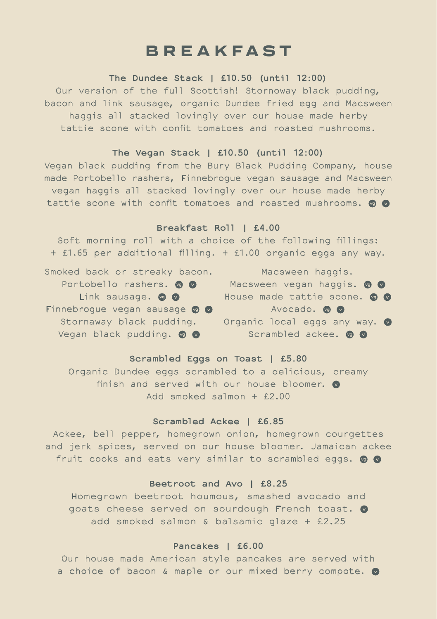# **BREAKFAST**

**The Dundee Stack | £10.50 (until 12:00)** Our version of the full Scottish! Stornoway black pudding, bacon and link sausage, organic Dundee fried egg and Macsween haggis all stacked lovingly over our house made herby tattie scone with confit tomatoes and roasted mushrooms.

## **The Vegan Stack | £10.50 (until 12:00)**

Vegan black pudding from the Bury Black Pudding Company, house made Portobello rashers, Finnebrogue vegan sausage and Macsween vegan haggis all stacked lovingly over our house made herby tattie scone with confit tomatoes and roasted mushrooms. o o

### **Breakfast Roll | £4.00**

Soft morning roll with a choice of the following fillings: + £1.65 per additional filling. + £1.00 organic eggs any way.

Smoked back or streaky bacon. Portobello rashers. o o Link sausage. **@** Finnebrogue vegan sausage @ @ Stornaway black pudding. Vegan black pudding. o o

Macsween haggis. Macsween vegan haggis. o o House made tattie scone. @ @ Avocado. **@** Organic local eggs any way. <sup>o</sup> Scrambled ackee. **@ @** 

**Scrambled Eggs on Toast | £5.80** Organic Dundee eggs scrambled to a delicious, creamy finish and served with our house bloomer.  $\bullet$ Add smoked salmon + £2.00

# **Scrambled Ackee | £6.85**

Ackee, bell pepper, homegrown onion, homegrown courgettes and jerk spices, served on our house bloomer. Jamaican ackee fruit cooks and eats very similar to scrambled eggs. @ @

# **Beetroot and Avo | £8.25**

Homegrown beetroot houmous, smashed avocado and goats cheese served on sourdough French toast.  $\bullet$ add smoked salmon & balsamic glaze + £2.25

# **Pancakes | £6.00**

Our house made American style pancakes are served with a choice of bacon & maple or our mixed berry compote.  $\bullet$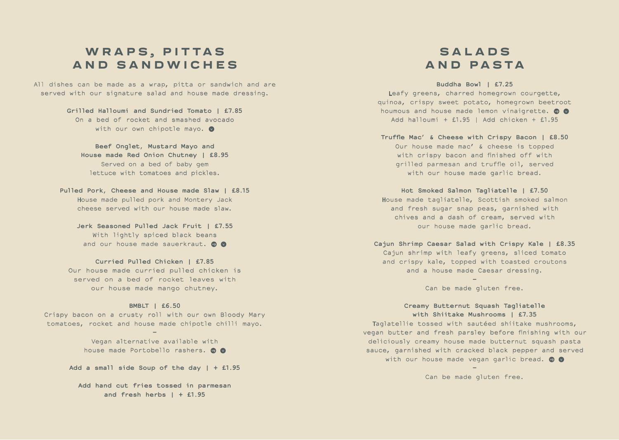# WRAPS, PITTAS **A N D S A N D W I C H E S**

All dishes can be made as a wrap, pitta or sandwich and are served with our signature salad and house made dressing.

> **Grilled Halloumi and Sundried Tomato | £7.85** On a bed of rocket and smashed avocado with our own chipotle mayo.  $\bullet$

**Beef Onglet, Mustard Mayo and House made Red Onion Chutney | £8.95** Served on a bed of baby gem lettuce with tomatoes and pickles.

**Pulled Pork, Cheese and House made Slaw | £8.15** House made pulled pork and Montery Jack cheese served with our house made slaw.

**Jerk Seasoned Pulled Jack Fruit | £7.55** With lightly spiced black beans and our house made sauerkraut. @ @

**Curried Pulled Chicken | £7.85** Our house made curried pulled chicken is served on a bed of rocket leaves with our house made mango chutney.

#### **BMBLT | £6.50**

Crispy bacon on a crusty roll with our own Bloody Mary tomatoes, rocket and house made chipotle chilli mayo. **–**

> Vegan alternative available with house made Portobello rashers. **@ @**

**Add a small side Soup of the day | + £1.95**

**Add hand cut fries tossed in parmesan and fresh herbs | + £1.95**

# **S A L A D S AND PASTA**

**Buddha Bowl | £7.25** Leafy greens, charred homegrown courgette, quinoa, crispy sweet potato, homegrown beetroot houmous and house made lemon vinaigrette.  $\bullet$ Add halloumi +  $£1.95$  | Add chicken +  $£1.95$ 

**Truffle Mac' & Cheese with Crispy Bacon | £8.50** Our house made mac' & cheese is topped with crispy bacon and finished off with grilled parmesan and truffle oil, served with our house made garlic bread.

**Hot Smoked Salmon Tagliatelle | £7.50** House made tagliatelle, Scottish smoked salmon and fresh sugar snap peas, garnished with chives and a dash of cream, served with our house made garlic bread.

**Cajun Shrimp Caesar Salad with Crispy Kale | £8.35** Cajun shrimp with leafy greens, sliced tomato and crispy kale, topped with toasted croutons and a house made Caesar dressing.

> **–** Can be made gluten free.

**Creamy Butternut Squash Tagliatelle with Shiitake Mushrooms | £7.35** Taglatellie tossed with sautéed shiitake mushrooms, vegan butter and fresh parsley before finishing with our deliciously creamy house made butternut squash pasta sauce, garnished with cracked black pepper and served with our house made vegan garlic bread. @ @

> **–** Can be made gluten free.